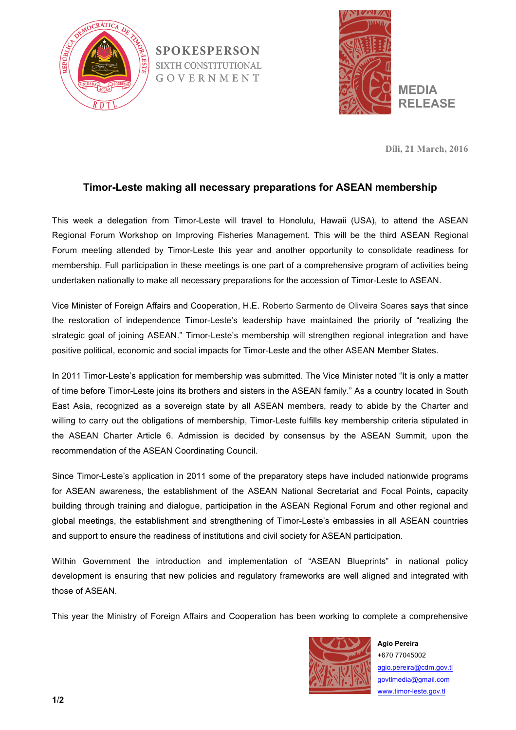

**SPOKESPERSON SIXTH CONSTITUTIONAL** GOVERNMENT



**Díli, 21 March, 2016**

## **Timor-Leste making all necessary preparations for ASEAN membership**

This week a delegation from Timor-Leste will travel to Honolulu, Hawaii (USA), to attend the ASEAN Regional Forum Workshop on Improving Fisheries Management. This will be the third ASEAN Regional Forum meeting attended by Timor-Leste this year and another opportunity to consolidate readiness for membership. Full participation in these meetings is one part of a comprehensive program of activities being undertaken nationally to make all necessary preparations for the accession of Timor-Leste to ASEAN.

Vice Minister of Foreign Affairs and Cooperation, H.E. Roberto Sarmento de Oliveira Soares says that since the restoration of independence Timor-Leste's leadership have maintained the priority of "realizing the strategic goal of joining ASEAN." Timor-Leste's membership will strengthen regional integration and have positive political, economic and social impacts for Timor-Leste and the other ASEAN Member States.

In 2011 Timor-Leste's application for membership was submitted. The Vice Minister noted "It is only a matter of time before Timor-Leste joins its brothers and sisters in the ASEAN family." As a country located in South East Asia, recognized as a sovereign state by all ASEAN members, ready to abide by the Charter and willing to carry out the obligations of membership, Timor-Leste fulfills key membership criteria stipulated in the ASEAN Charter Article 6. Admission is decided by consensus by the ASEAN Summit, upon the recommendation of the ASEAN Coordinating Council.

Since Timor-Leste's application in 2011 some of the preparatory steps have included nationwide programs for ASEAN awareness, the establishment of the ASEAN National Secretariat and Focal Points, capacity building through training and dialogue, participation in the ASEAN Regional Forum and other regional and global meetings, the establishment and strengthening of Timor-Leste's embassies in all ASEAN countries and support to ensure the readiness of institutions and civil society for ASEAN participation.

Within Government the introduction and implementation of "ASEAN Blueprints" in national policy development is ensuring that new policies and regulatory frameworks are well aligned and integrated with those of ASEAN.

This year the Ministry of Foreign Affairs and Cooperation has been working to complete a comprehensive



**Agio Pereira** +670 77045002 agio.pereira@cdm.gov.tl govtlmedia@gmail.com www.timor-leste.gov.tl